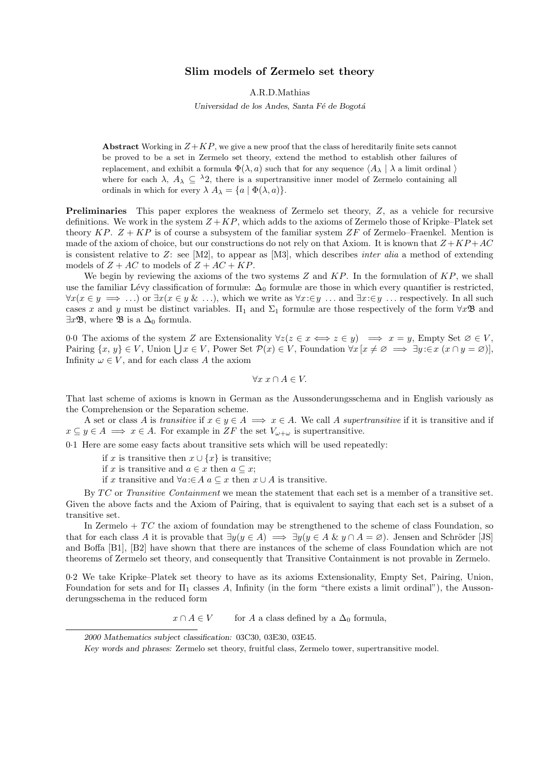# Slim models of Zermelo set theory

A.R.D.Mathias

Universidad de los Andes, Santa Fé de Bogotá

Abstract Working in  $Z+KP$ , we give a new proof that the class of hereditarily finite sets cannot be proved to be a set in Zermelo set theory, extend the method to establish other failures of replacement, and exhibit a formula  $\Phi(\lambda, a)$  such that for any sequence  $\langle A_\lambda | \lambda$  a limit ordinal  $\rangle$ where for each  $\lambda$ ,  $A_{\lambda} \subseteq {}^{\lambda}2$ , there is a supertransitive inner model of Zermelo containing all ordinals in which for every  $\lambda A_{\lambda} = \{a \mid \Phi(\lambda, a)\}.$ 

Preliminaries This paper explores the weakness of Zermelo set theory, Z, as a vehicle for recursive definitions. We work in the system  $Z + KP$ , which adds to the axioms of Zermelo those of Kripke–Platek set theory KP.  $Z + KP$  is of course a subsystem of the familiar system  $ZF$  of Zermelo–Fraenkel. Mention is made of the axiom of choice, but our constructions do not rely on that Axiom. It is known that  $Z + KP + AC$ is consistent relative to  $Z$ : see [M2], to appear as [M3], which describes *inter alia* a method of extending models of  $Z + AC$  to models of  $Z + AC + KP$ .

We begin by reviewing the axioms of the two systems  $Z$  and  $KP$ . In the formulation of  $KP$ , we shall use the familiar Lévy classification of formulæ:  $\Delta_0$  formulæ are those in which every quantifier is restricted,  $\forall x(x \in y \implies \ldots)$  or  $\exists x(x \in y \& \ldots)$ , which we write as  $\forall x: \in y \ldots$  and  $\exists x: \in y \ldots$  respectively. In all such cases x and y must be distinct variables.  $\Pi_1$  and  $\Sigma_1$  formulæ are those respectively of the form  $\forall x \mathfrak{B}$  and  $\exists x \mathfrak{B}$ , where  $\mathfrak{B}$  is a  $\Delta_0$  formula.

0.0 The axioms of the system Z are Extensionality  $\forall z(z \in x \iff z \in y) \implies x = y$ , Empty Set  $\emptyset \in V$ , Pairing  $\{x, y\} \in V$ , Union  $\bigcup x \in V$ , Power Set  $\mathcal{P}(x) \in V$ , Foundation  $\forall x \left[ x \neq \emptyset \implies \exists y \in X \ (x \cap y = \emptyset) \right]$ , Infinity  $\omega \in V$ , and for each class A the axiom

$$
\forall x \ x \cap A \in V.
$$

That last scheme of axioms is known in German as the Aussonderungsschema and in English variously as the Comprehension or the Separation scheme.

A set or class A is transitive if  $x \in y \in A \implies x \in A$ . We call A supertransitive if it is transitive and if  $x \subseteq y \in A \implies x \in A$ . For example in ZF the set  $V_{\omega+\omega}$  is supertransitive.

0·1 Here are some easy facts about transitive sets which will be used repeatedly:

if x is transitive then  $x \cup \{x\}$  is transitive;

if x is transitive and  $a \in x$  then  $a \subseteq x$ ;

if x transitive and  $\forall a \in A \text{ a } \subseteq x$  then  $x \cup A$  is transitive.

By TC or Transitive Containment we mean the statement that each set is a member of a transitive set. Given the above facts and the Axiom of Pairing, that is equivalent to saying that each set is a subset of a transitive set.

In Zermelo  $+TC$  the axiom of foundation may be strengthened to the scheme of class Foundation, so that for each class A it is provable that  $\exists y(y \in A) \implies \exists y(y \in A \& y \cap A = \emptyset)$ . Jensen and Schröder [JS] and Boffa [B1], [B2] have shown that there are instances of the scheme of class Foundation which are not theorems of Zermelo set theory, and consequently that Transitive Containment is not provable in Zermelo.

0·2 We take Kripke–Platek set theory to have as its axioms Extensionality, Empty Set, Pairing, Union, Foundation for sets and for  $\Pi_1$  classes A, Infinity (in the form "there exists a limit ordinal"), the Aussonderungsschema in the reduced form

 $x \cap A \in V$  for A a class defined by a  $\Delta_0$  formula,

<sup>2000</sup> Mathematics subject classification: 03C30, 03E30, 03E45.

Key words and phrases: Zermelo set theory, fruitful class, Zermelo tower, supertransitive model.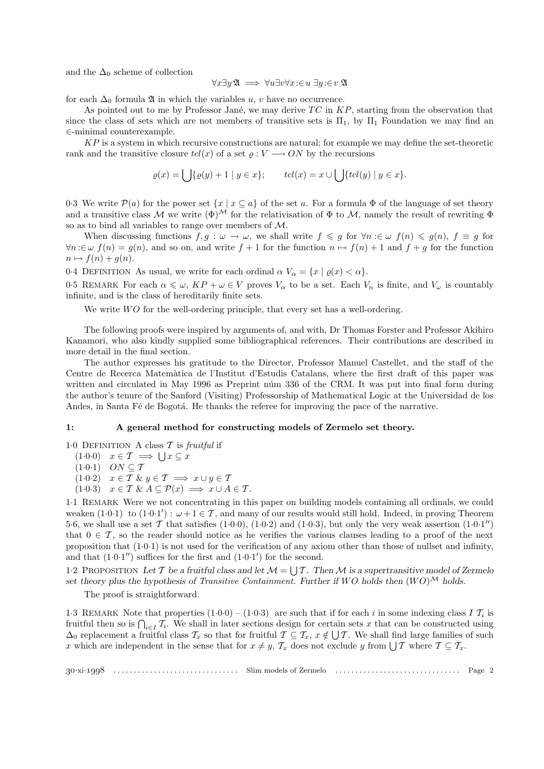and the  $\Delta_0$  scheme of collection

$$
\forall x \exists y \, \mathfrak{A} \implies \forall u \exists v \forall x \colon \in u \, \exists y \colon \in v \, \mathfrak{A}
$$

for each  $\Delta_0$  formula  $\mathfrak A$  in which the variables u, v have no occurrence.

As pointed out to me by Professor Jané, we may derive  $TC$  in  $KP$ , starting from the observation that since the class of sets which are not members of transitive sets is  $\Pi_1$ , by  $\Pi_1$  Foundation we may find an ∈-minimal counterexample.

 $KP$  is a system in which recursive constructions are natural; for example we may define the set-theoretic rank and the transitive closure  $tcl(x)$  of a set  $\varrho: V \longrightarrow ON$  by the recursions

$$
\varrho(x) = \bigcup \{ \varrho(y) + 1 \mid y \in x \}; \qquad tcl(x) = x \cup \bigcup \{ tcl(y) \mid y \in x \}.
$$

0.3 We write  $\mathcal{P}(a)$  for the power set  $\{x \mid x \subseteq a\}$  of the set a. For a formula  $\Phi$  of the language of set theory and a transitive class M we write  $(\Phi)^{\mathcal{M}}$  for the relativisation of  $\Phi$  to M, namely the result of rewriting  $\Phi$ so as to bind all variables to range over members of M.

When discussing functions  $f, g : \omega \to \omega$ , we shall write  $f \leq g$  for  $\forall n : \in \omega$   $f(n) \leq g(n)$ ,  $f \equiv g$  for  $\forall n:\in\omega$   $f(n) = g(n)$ , and so on, and write  $f + 1$  for the function  $n \mapsto f(n) + 1$  and  $f + g$  for the function  $n \mapsto f(n) + q(n).$ 

0.4 DEFINITION As usual, we write for each ordinal  $\alpha V_{\alpha} = \{x \mid \varrho(x) < \alpha\}.$ 

0.5 REMARK For each  $\alpha \leq \omega$ ,  $KP + \omega \in V$  proves  $V_{\alpha}$  to be a set. Each  $V_n$  is finite, and  $V_{\omega}$  is countably infinite, and is the class of hereditarily finite sets.

We write *WO* for the well-ordering principle, that every set has a well-ordering.

The following proofs were inspired by arguments of, and with, Dr Thomas Forster and Professor Akihiro Kanamori, who also kindly supplied some bibliographical references. Their contributions are described in more detail in the final section.

The author expresses his gratitude to the Director, Professor Manuel Castellet, and the staff of the Centre de Recerca Matem`atica de l'Institut d'Estudis Catalans, where the first draft of this paper was written and circulated in May 1996 as Preprint num 336 of the CRM. It was put into final form during the author's tenure of the Sanford (Visiting) Professorship of Mathematical Logic at the Universidad de los Andes, in Santa Fé de Bogotá. He thanks the referee for improving the pace of the narrative.

### 1: A general method for constructing models of Zermelo set theory.

1.0 DEFINITION A class  $\mathcal T$  is fruitful if

 $(1\cdot 0\cdot 0)$   $x \in \mathcal{T} \implies \bigcup x \subseteq x$ 

 $(1\cdot 0\cdot 1)$   $ON \subseteq T$ 

 $(1·0·2)$   $x \in \mathcal{T}$  &  $y \in \mathcal{T}$   $\implies x \cup y \in \mathcal{T}$ 

 $(1\cdot 0\cdot 3)$   $x \in \mathcal{T} \& A \subseteq \mathcal{P}(x) \implies x \cup A \in \mathcal{T}$ .

1·1 REMARK Were we not concentrating in this paper on building models containing all ordinals, we could weaken  $(1\cdot0\cdot1)$  to  $(1\cdot0\cdot1')$ :  $\omega+1\in\mathcal{T}$ , and many of our results would still hold. Indeed, in proving Theorem 5.6, we shall use a set  $\mathcal T$  that satisfies  $(1.0.0)$ ,  $(1.0.2)$  and  $(1.0.3)$ , but only the very weak assertion  $(1.0.1'')$ that  $0 \in \mathcal{T}$ , so the reader should notice as he verifies the various clauses leading to a proof of the next proposition that (1·0·1) is not used for the verification of any axiom other than those of nullset and infinity, and that  $(1.0.1'')$  suffices for the first and  $(1.0.1')$  for the second.

1.2 PROPOSITION Let T be a fruitful class and let  $\mathcal{M} = \bigcup \mathcal{T}$ . Then M is a supertransitive model of Zermelo set theory plus the hypothesis of Transitive Containment. Further if  $WO$  holds then  $(WO)^{\mathcal{M}}$  holds.

The proof is straightforward.

1.3 REMARK Note that properties  $(1.0.0) - (1.0.3)$  are such that if for each i in some indexing class I  $T_i$  is fruitful then so is  $\bigcap_{i\in I} \mathcal{T}_i$ . We shall in later sections design for certain sets x that can be constructed using  $\Delta_0$  replacement a fruitful class  $\mathcal{T}_x$  so that for fruitful  $\mathcal{T} \subseteq \mathcal{T}_x$ ,  $x \notin \bigcup \mathcal{T}$ . We shall find large families of such x which are independent in the sense that for  $x \neq y$ ,  $\mathcal{T}_x$  does not exclude y from  $\bigcup \mathcal{T}$  where  $\mathcal{T} \subseteq \mathcal{T}_x$ .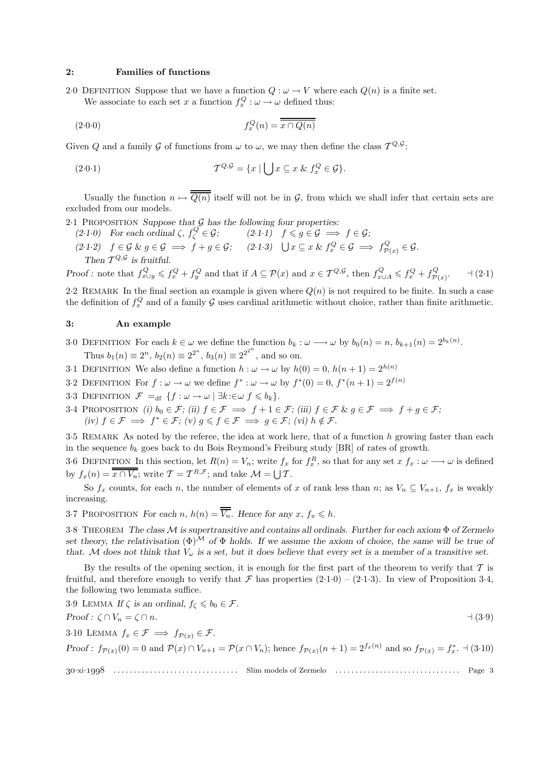## 2: Families of functions

2.0 DEFINITION Suppose that we have a function  $Q : \omega \to V$  where each  $Q(n)$  is a finite set. We associate to each set x a function  $f_x^Q: \omega \to \omega$  defined thus:

$$
(2.0.0) \t\t f_x^Q(n) = \overline{x \cap Q(n)}
$$

Given Q and a family G of functions from  $\omega$  to  $\omega$ , we may then define the class  $T^{Q, \mathcal{G}}$ :

(2.0.1) 
$$
T^{Q,\mathcal{G}} = \{x \mid \bigcup x \subseteq x \; \& \; f_x^Q \in \mathcal{G}\}.
$$

Usually the function  $n \mapsto \overline{Q(n)}$  itself will not be in G, from which we shall infer that certain sets are excluded from our models.

2.1 PROPOSITION Suppose that  $G$  has the following four properties:

(2.1.0) For each ordinal  $\zeta, f_{\zeta}^{Q} \in \mathcal{G}$ ;  $(2.1.1)$   $f \leq g \in \mathcal{G} \implies f \in \mathcal{G}$ ;  $(2.1.2)$   $f \in \mathcal{G} \& g \in \mathcal{G} \implies f + g \in \mathcal{G};$   $(2.1.3)$   $\bigcup x \subseteq x \& f_x^Q \in \mathcal{G} \implies f_{\mathcal{P}(x)}^Q \in \mathcal{G}.$ Then  $\mathcal{T}^{Q,\mathcal{G}}$  is fruitful.

Proof: note that  $f_{x\cup y}^Q \leqslant f_x^Q + f_y^Q$  and that if  $A \subseteq \mathcal{P}(x)$  and  $x \in \mathcal{T}^{Q,\mathcal{G}},$  then  $f_{x\cup A}^Q \leqslant f_x^Q + f_{\mathcal{P}(x)}^Q$  $-1(2.1)$ 

2.2 REMARK In the final section an example is given where  $Q(n)$  is not required to be finite. In such a case the definition of  $f_x^Q$  and of a family G uses cardinal arithmetic without choice, rather than finite arithmetic.

# 3: An example

- 3·0 DEFINITION For each  $k \in \omega$  we define the function  $b_k : \omega \longrightarrow \omega$  by  $b_0(n) = n$ ,  $b_{k+1}(n) = 2^{b_k(n)}$ . Thus  $b_1(n) \equiv 2^n$ ,  $b_2(n) \equiv 2^{2^n}$ ,  $b_3(n) \equiv 2^{2^{2^n}}$ , and so on.
- 3.1 DEFINITION We also define a function  $h : \omega \to \omega$  by  $h(0) = 0$ ,  $h(n+1) = 2^{h(n)}$
- 3.2 DEFINITION For  $f : \omega \to \omega$  we define  $f^* : \omega \to \omega$  by  $f^*(0) = 0$ ,  $f^*(n+1) = 2^{f(n)}$
- 3·3 DEFINITION  $\mathcal{F} =_{\text{df}} \{f : \omega \to \omega \mid \exists k : \in \omega \; f \leqslant b_k\}.$
- 3·4 PROPOSITION (i)  $b_0 \in \mathcal{F}$ ; (ii)  $f \in \mathcal{F} \implies f + 1 \in \mathcal{F}$ ; (iii)  $f \in \mathcal{F}$  &  $g \in \mathcal{F} \implies f + g \in \mathcal{F}$ ; (iv)  $f \in \mathcal{F} \implies f^* \in \mathcal{F}$ ; (v)  $g \leqslant f \in \mathcal{F} \implies g \in \mathcal{F}$ ; (vi)  $h \notin \mathcal{F}$ .

3·5 REMARK As noted by the referee, the idea at work here, that of a function h growing faster than each in the sequence  $b_k$  goes back to du Bois Reymond's Freiburg study [BR] of rates of growth.

3.6 DEFINITION In this section, let  $R(n) = V_n$ ; write  $f_x$  for  $f_x^R$ , so that for any set  $x \, f_x : \omega \longrightarrow \omega$  is defined by  $f_x(n) = \overline{x \cap V_n}$ ; write  $\mathcal{T} = \mathcal{T}^{R,\mathcal{F}}$ ; and take  $\mathcal{M} = \bigcup \mathcal{T}$ .

So  $f_x$  counts, for each n, the number of elements of x of rank less than n; as  $V_n \subseteq V_{n+1}$ ,  $f_x$  is weakly increasing.

3.7 PROPOSITION For each n,  $h(n) = \overline{V_n}$ . Hence for any  $x, f_x \leq h$ .

3·8 THEOREM The class M is supertransitive and contains all ordinals. Further for each axiom Φ of Zermelo set theory, the relativisation  $(\Phi)^{\mathcal{M}}$  of  $\Phi$  holds. If we assume the axiom of choice, the same will be true of that. M does not think that  $V_{\omega}$  is a set, but it does believe that every set is a member of a transitive set.

By the results of the opening section, it is enough for the first part of the theorem to verify that  $T$  is fruitful, and therefore enough to verify that  $\mathcal F$  has properties  $(2\cdot1\cdot0) - (2\cdot1\cdot3)$ . In view of Proposition 3.4, the following two lemmata suffice.

3·9 LEMMA If ζ is an ordinal, f<sup>ζ</sup> 6 b<sup>0</sup> ∈ F. Proof : ζ ∩ V<sup>n</sup> = ζ ∩ n. a (3·9)

3·10 LEMMA  $f_x \in \mathcal{F} \implies f_{\mathcal{P}(x)} \in \mathcal{F}$ .

Proof:  $f_{\mathcal{P}(x)}(0) = 0$  and  $\mathcal{P}(x) \cap V_{n+1} = \mathcal{P}(x \cap V_n)$ ; hence  $f_{\mathcal{P}(x)}(n+1) = 2^{f_x(n)}$  and so  $f_{\mathcal{P}(x)} = f_x^*$ .  $\exists$  (3.10)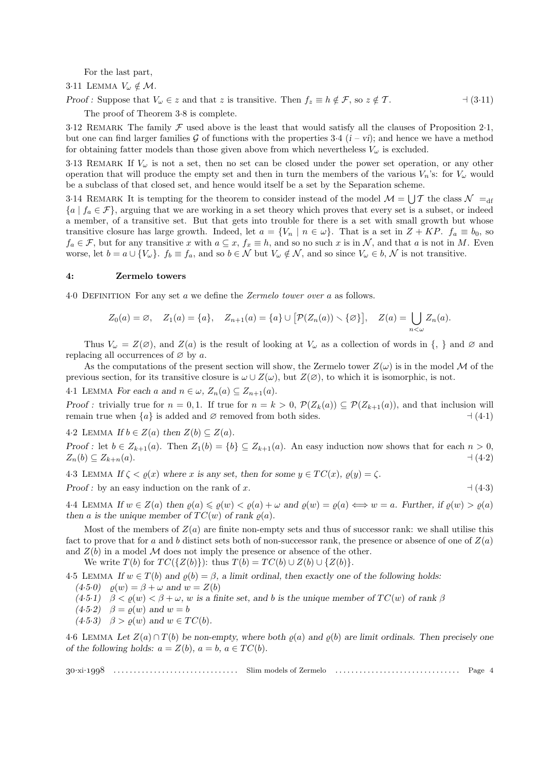For the last part,

3.11 LEMMA  $V_{\omega} \notin \mathcal{M}$ .

Proof : Suppose that V<sup>ω</sup> ∈ z and that z is transitive. Then f<sup>z</sup> ≡ h ∈/ F, so z ∈/ T . a (3·11)

The proof of Theorem 3·8 is complete.

3.12 REMARK The family  $\mathcal F$  used above is the least that would satisfy all the clauses of Proposition 2.1, but one can find larger families G of functions with the properties 3.4  $(i - vi)$ ; and hence we have a method for obtaining fatter models than those given above from which nevertheless  $V_{\omega}$  is excluded.

3·13 REMARK If  $V_\omega$  is not a set, then no set can be closed under the power set operation, or any other operation that will produce the empty set and then in turn the members of the various  $V_n$ 's: for  $V_\omega$  would be a subclass of that closed set, and hence would itself be a set by the Separation scheme.

3.14 REMARK It is tempting for the theorem to consider instead of the model  $\mathcal{M} = \bigcup \mathcal{T}$  the class  $\mathcal{N}$  =  $_{\text{df}}$  ${a | f_a \in \mathcal{F}}$ , arguing that we are working in a set theory which proves that every set is a subset, or indeed a member, of a transitive set. But that gets into trouble for there is a set with small growth but whose transitive closure has large growth. Indeed, let  $a = \{V_n \mid n \in \omega\}$ . That is a set in  $Z + KP$ .  $f_a \equiv b_0$ , so  $f_a \in \mathcal{F}$ , but for any transitive x with  $a \subseteq x$ ,  $f_x \equiv h$ , and so no such x is in N, and that a is not in M. Even worse, let  $b = a \cup \{V_{\omega}\}\$ .  $f_b \equiv f_a$ , and so  $b \in \mathcal{N}$  but  $V_{\omega} \notin \mathcal{N}$ , and so since  $V_{\omega} \in b$ ,  $\mathcal{N}$  is not transitive.

# 4: Zermelo towers

4·0 DEFINITION For any set a we define the Zermelo tower over a as follows.

$$
Z_0(a) = \emptyset, \quad Z_1(a) = \{a\}, \quad Z_{n+1}(a) = \{a\} \cup [\mathcal{P}(Z_n(a)) \setminus \{\emptyset\}], \quad Z(a) = \bigcup_{n < \omega} Z_n(a).
$$

Thus  $V_{\omega} = Z(\emptyset)$ , and  $Z(a)$  is the result of looking at  $V_{\omega}$  as a collection of words in  $\{,\}$  and  $\emptyset$  and replacing all occurrences of  $\varnothing$  by a.

As the computations of the present section will show, the Zermelo tower  $Z(\omega)$  is in the model M of the previous section, for its transitive closure is  $\omega \cup Z(\omega)$ , but  $Z(\emptyset)$ , to which it is isomorphic, is not.

4.1 LEMMA For each a and  $n \in \omega$ ,  $Z_n(a) \subseteq Z_{n+1}(a)$ .

Proof : trivially true for  $n = 0, 1$ . If true for  $n = k > 0$ ,  $\mathcal{P}(Z_k(a)) \subseteq \mathcal{P}(Z_{k+1}(a))$ , and that inclusion will remain true when {a} is added and ∅ removed from both sides. a (4·1)

4.2 LEMMA If  $b \in Z(a)$  then  $Z(b) \subseteq Z(a)$ .

Proof : let  $b \in Z_{k+1}(a)$ . Then  $Z_1(b) = \{b\} \subseteq Z_{k+1}(a)$ . An easy induction now shows that for each  $n > 0$ ,  $Z_n(b) \subseteq Z_{k+n}(a).$   $\Box$   $\Box$ 

4.3 LEMMA If  $\zeta < \varrho(x)$  where x is any set, then for some  $y \in TC(x)$ ,  $\varrho(y) = \zeta$ . Proof : by an easy induction on the rank of x.  $\Box$  (4·3)

4·4 LEMMA If  $w \in Z(a)$  then  $\rho(a) \leq \rho(w) < \rho(a) + \omega$  and  $\rho(w) = \rho(a) \iff w = a$ . Further, if  $\rho(w) > \rho(a)$ then a is the unique member of  $TC(w)$  of rank  $\rho(a)$ .

Most of the members of  $Z(a)$  are finite non-empty sets and thus of successor rank: we shall utilise this fact to prove that for a and b distinct sets both of non-successor rank, the presence or absence of one of  $Z(a)$ and  $Z(b)$  in a model M does not imply the presence or absence of the other.

We write  $T(b)$  for  $TC({Z(b)}):$  thus  $T(b) = TC(b) \cup Z(b) \cup \{Z(b)\}.$ 

4.5 LEMMA If  $w \in T(b)$  and  $\rho(b) = \beta$ , a limit ordinal, then exactly one of the following holds:

$$
(4.5.0)
$$
  $\varrho(w) = \beta + \omega$  and  $w = Z(b)$ 

 $(4.5.1)$   $\beta < \varrho(w) < \beta + \omega$ , w is a finite set, and b is the unique member of  $TC(w)$  of rank  $\beta$ 

 $(4.5.2)$   $\beta = \rho(w)$  and  $w = b$ 

 $(4.5.3)$   $\beta > \rho(w)$  and  $w \in TC(b)$ .

4.6 LEMMA Let  $Z(a) \cap T(b)$  be non-empty, where both  $\rho(a)$  and  $\rho(b)$  are limit ordinals. Then precisely one of the following holds:  $a = Z(b)$ ,  $a = b$ ,  $a \in TC(b)$ .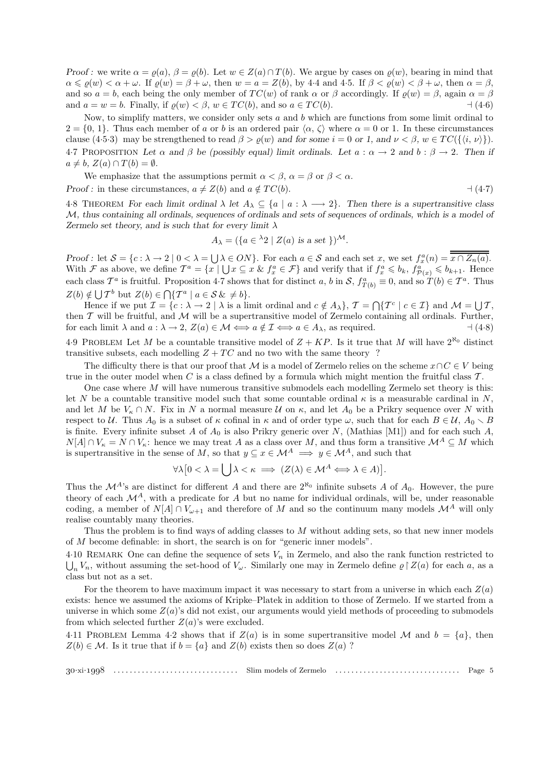Proof : we write  $\alpha = \rho(a)$ ,  $\beta = \rho(b)$ . Let  $w \in Z(a) \cap T(b)$ . We argue by cases on  $\rho(w)$ , bearing in mind that  $\alpha \leqslant \varrho(w) < \alpha + \omega$ . If  $\varrho(w) = \beta + \omega$ , then  $w = a = Z(b)$ , by 4.4 and 4.5. If  $\beta < \varrho(w) < \beta + \omega$ , then  $\alpha = \beta$ , and so  $a = b$ , each being the only member of  $TC(w)$  of rank  $\alpha$  or  $\beta$  accordingly. If  $\rho(w) = \beta$ , again  $\alpha = \beta$ and  $a = w = b$ . Finally, if  $\rho(w) < \beta$ ,  $w \in TC(b)$ , and so  $a \in TC(b)$ .  $\qquad (4.6)$ 

Now, to simplify matters, we consider only sets  $a$  and  $b$  which are functions from some limit ordinal to  $2 = \{0, 1\}$ . Thus each member of a or b is an ordered pair  $\langle \alpha, \zeta \rangle$  where  $\alpha = 0$  or 1. In these circumstances clause (4·5·3) may be strengthened to read  $\beta > \rho(w)$  and for some  $i = 0$  or 1, and  $\nu < \beta$ ,  $w \in TC(\lbrace i, \nu \rbrace)$ . 4.7 PROPOSITION Let  $\alpha$  and  $\beta$  be (possibly equal) limit ordinals. Let  $a : \alpha \to 2$  and  $b : \beta \to 2$ . Then if  $a \neq b$ ,  $Z(a) \cap T(b) = \emptyset$ .

We emphasize that the assumptions permit  $\alpha < \beta$ ,  $\alpha = \beta$  or  $\beta < \alpha$ . Proof : in these circumstances,  $a \neq Z(b)$  and  $a \notin TC(b)$ .  $\qquad (4-7)$ 

4.8 THEOREM For each limit ordinal  $\lambda$  let  $A_{\lambda} \subseteq \{a \mid a : \lambda \longrightarrow 2\}$ . Then there is a supertransitive class M, thus containing all ordinals, sequences of ordinals and sets of sequences of ordinals, which is a model of Zermelo set theory, and is such that for every limit  $\lambda$ 

$$
A_{\lambda} = (\{a \in {}^{\lambda}2 \mid Z(a) \text{ is a set } \})^{\mathcal{M}}.
$$

Proof : let  $S = \{c : \lambda \to 2 \mid 0 < \lambda = \bigcup \lambda \in ON\}$ . For each  $a \in S$  and each set  $x$ , we set  $f_x^a(n) = \overline{x \cap Z_n(a)}$ . With F as above, we define  $T^a = \{x \mid \bigcup x \subseteq x \& f_x^a \in \mathcal{F}\}\$ and verify that if  $f_x^a \leqslant b_k$ ,  $f_{\mathcal{P}(x)}^a \leqslant b_{k+1}$ . Hence each class  $\mathcal{T}^a$  is fruitful. Proposition 4.7 shows that for distinct a, b in  $\mathcal{S}, f^a_{T(b)} \equiv 0$ , and so  $T(b) \in \mathcal{T}^a$ . Thus  $Z(b) \notin \bigcup \mathcal{T}^b$  but  $Z(b) \in \bigcap \{\mathcal{T}^a \mid a \in \mathcal{S} \& \neq b\}.$ 

Hence if we put  $\mathcal{I} = \{c : \lambda \to 2 \mid \lambda \text{ is a limit ordinal and } c \notin A_{\lambda}\}, \mathcal{T} = \bigcap \{T^c \mid c \in \mathcal{I}\}\$ and  $\mathcal{M} = \bigcup \mathcal{T}$ , then  $T$  will be fruitful, and  $M$  will be a supertransitive model of Zermelo containing all ordinals. Further, for each limit  $\lambda$  and  $a : \lambda \to 2$ ,  $Z(a) \in \mathcal{M} \Longleftrightarrow a \notin \mathcal{I} \Longleftrightarrow a \in A_{\lambda}$ , as required.  $\exists (4\cdot8)$ 

4.9 PROBLEM Let M be a countable transitive model of  $Z + KP$ . Is it true that M will have  $2^{\aleph_0}$  distinct transitive subsets, each modelling  $Z + TC$  and no two with the same theory ?

The difficulty there is that our proof that M is a model of Zermelo relies on the scheme  $x \cap C \in V$  being true in the outer model when C is a class defined by a formula which might mention the fruitful class  $\mathcal T$ .

One case where  $M$  will have numerous transitive submodels each modelling Zermelo set theory is this: let N be a countable transitive model such that some countable ordinal  $\kappa$  is a measurable cardinal in N, and let M be  $V_{\kappa} \cap N$ . Fix in N a normal measure U on  $\kappa$ , and let  $A_0$  be a Prikry sequence over N with respect to U. Thus  $A_0$  is a subset of  $\kappa$  cofinal in  $\kappa$  and of order type  $\omega$ , such that for each  $B \in U$ ,  $A_0 \setminus B$ is finite. Every infinite subset A of  $A_0$  is also Prikry generic over N, (Mathias [M1]) and for each such A,  $N[A] \cap V_{\kappa} = N \cap V_{\kappa}$ : hence we may treat A as a class over M, and thus form a transitive  $\mathcal{M}^A \subseteq M$  which is supertransitive in the sense of M, so that  $y \subseteq x \in M^A \implies y \in M^A$ , and such that

$$
\forall \lambda \big[ 0 < \lambda = \bigcup \lambda < \kappa \implies (Z(\lambda) \in \mathcal{M}^A \Longleftrightarrow \lambda \in A) \big].
$$

Thus the  $\mathcal{M}^{A}$ 's are distinct for different A and there are  $2^{\aleph_0}$  infinite subsets A of  $A_0$ . However, the pure theory of each  $\mathcal{M}^A$ , with a predicate for A but no name for individual ordinals, will be, under reasonable coding, a member of  $N[A] \cap V_{\omega+1}$  and therefore of M and so the continuum many models  $\mathcal{M}^A$  will only realise countably many theories.

Thus the problem is to find ways of adding classes to M without adding sets, so that new inner models of M become definable: in short, the search is on for "generic inner models".

4.10 REMARK One can define the sequence of sets  $V_n$  in Zermelo, and also the rank function restricted to  $\bigcup_n V_n$ , without assuming the set-hood of  $V_\omega$ . Similarly one may in Zermelo define  $\varrho \restriction Z(a)$  for each a, as a class but not as a set.

For the theorem to have maximum impact it was necessary to start from a universe in which each  $Z(a)$ exists: hence we assumed the axioms of Kripke–Platek in addition to those of Zermelo. If we started from a universe in which some  $Z(a)$ 's did not exist, our arguments would yield methods of proceeding to submodels from which selected further  $Z(a)$ 's were excluded.

4.11 PROBLEM Lemma 4.2 shows that if  $Z(a)$  is in some supertransitive model M and  $b = \{a\}$ , then  $Z(b) \in \mathcal{M}$ . Is it true that if  $b = \{a\}$  and  $Z(b)$  exists then so does  $Z(a)$ ?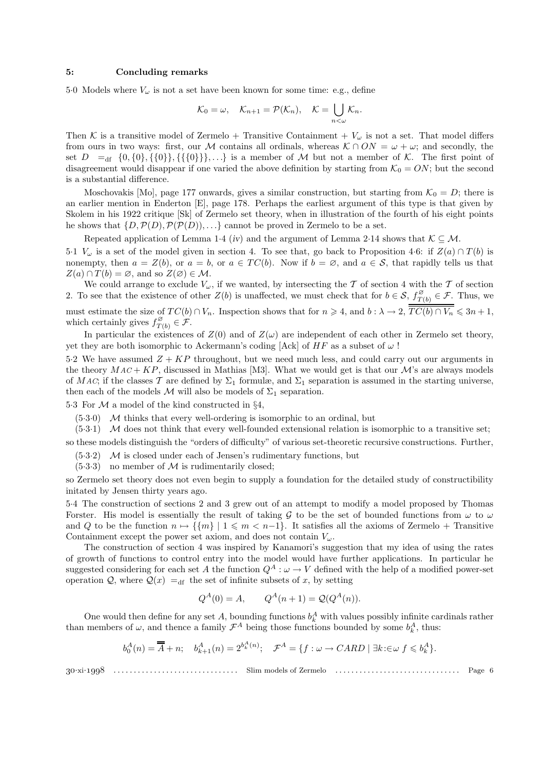#### 5: Concluding remarks

5.0 Models where  $V_{\omega}$  is not a set have been known for some time: e.g., define

$$
\mathcal{K}_0 = \omega, \quad \mathcal{K}_{n+1} = \mathcal{P}(\mathcal{K}_n), \quad \mathcal{K} = \bigcup_{n < \omega} \mathcal{K}_n.
$$

Then K is a transitive model of Zermelo + Transitive Containment +  $V_{\omega}$  is not a set. That model differs from ours in two ways: first, our M contains all ordinals, whereas  $K \cap ON = \omega + \omega$ ; and secondly, the set  $D =$ df  $\{0, \{0\}, \{\{0\}\}, \{\{\{0\}\}\},\ldots\}$  is a member of M but not a member of K. The first point of disagreement would disappear if one varied the above definition by starting from  $\mathcal{K}_0 = ON$ ; but the second is a substantial difference.

Moschovakis [Mo], page 177 onwards, gives a similar construction, but starting from  $\mathcal{K}_0 = D$ ; there is an earlier mention in Enderton [E], page 178. Perhaps the earliest argument of this type is that given by Skolem in his 1922 critique [Sk] of Zermelo set theory, when in illustration of the fourth of his eight points he shows that  $\{D, \mathcal{P}(D), \mathcal{P}(\mathcal{P}(D)), \ldots\}$  cannot be proved in Zermelo to be a set.

Repeated application of Lemma 1·4 (iv) and the argument of Lemma 2·14 shows that  $\mathcal{K} \subseteq \mathcal{M}$ .

5·1  $V_{\omega}$  is a set of the model given in section 4. To see that, go back to Proposition 4·6: if  $Z(a) \cap T(b)$  is nonempty, then  $a = Z(b)$ , or  $a = b$ , or  $a \in TC(b)$ . Now if  $b = \emptyset$ , and  $a \in S$ , that rapidly tells us that  $Z(a) \cap T(b) = \emptyset$ , and so  $Z(\emptyset) \in \mathcal{M}$ .

We could arrange to exclude  $V_{\omega}$ , if we wanted, by intersecting the T of section 4 with the T of section 2. To see that the existence of other  $Z(b)$  is unaffected, we must check that for  $b \in S$ ,  $f_{T(c)}^{\varnothing}$  $T(t) \in \mathcal{F}$ . Thus, we must estimate the size of  $TC(b) \cap V_n$ . Inspection shows that for  $n \ge 4$ , and  $b : \lambda \to 2$ ,  $TC(b) \cap V_n \le 3n + 1$ ,

which certainly gives 
$$
f_{T(b)}^{\varnothing} \in \mathcal{F}
$$
.

In particular the existences of  $Z(0)$  and of  $Z(\omega)$  are independent of each other in Zermelo set theory, yet they are both isomorphic to Ackermann's coding [Ack] of  $HF$  as a subset of  $\omega$ !

5.2 We have assumed  $Z + KP$  throughout, but we need much less, and could carry out our arguments in the theory  $MAC + KP$ , discussed in Mathias [M3]. What we would get is that our  $M$ 's are always models of MAC; if the classes T are defined by  $\Sigma_1$  formulæ, and  $\Sigma_1$  separation is assumed in the starting universe, then each of the models  $M$  will also be models of  $\Sigma_1$  separation.

5.3 For  $M$  a model of the kind constructed in §4,

 $(5.3.0)$  M thinks that every well-ordering is isomorphic to an ordinal, but

 $(5.3.1)$  M does not think that every well-founded extensional relation is isomorphic to a transitive set;

so these models distinguish the "orders of difficulty" of various set-theoretic recursive constructions. Further,

 $(5.3.2)$  M is closed under each of Jensen's rudimentary functions, but

 $(5.3.3)$  no member of M is rudimentarily closed;

so Zermelo set theory does not even begin to supply a foundation for the detailed study of constructibility initated by Jensen thirty years ago.

5·4 The construction of sections 2 and 3 grew out of an attempt to modify a model proposed by Thomas Forster. His model is essentially the result of taking G to be the set of bounded functions from  $\omega$  to  $\omega$ and Q to be the function  $n \mapsto \{ \{m\} \mid 1 \leqslant m < n-1 \}$ . It satisfies all the axioms of Zermelo + Transitive Containment except the power set axiom, and does not contain  $V_\omega$ .

The construction of section 4 was inspired by Kanamori's suggestion that my idea of using the rates of growth of functions to control entry into the model would have further applications. In particular he suggested considering for each set A the function  $Q^A: \omega \to V$  defined with the help of a modified power-set operation Q, where  $Q(x) = df$  the set of infinite subsets of x, by setting

$$
Q^A(0) = A
$$
,  $Q^A(n+1) = Q(Q^A(n))$ .

One would then define for any set A, bounding functions  $b<sub>k</sub><sup>A</sup>$  with values possibly infinite cardinals rather than members of  $\omega$ , and thence a family  $\mathcal{F}^A$  being those functions bounded by some  $b_k^A$ , thus:

$$
b_0^A(n) = \overline{A} + n; \quad b_{k+1}^A(n) = 2^{b_k^A(n)}; \quad \mathcal{F}^A = \{f : \omega \to CARD \mid \exists k : \in \omega \} \in b_k^A\}.
$$